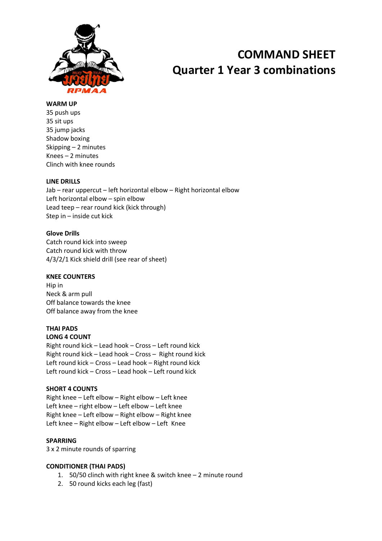

# **COMMAND SHEET Quarter 1 Year 3 combinations**

#### **WARM UP**

35 push ups 35 sit ups 35 jump jacks Shadow boxing Skipping – 2 minutes Knees – 2 minutes Clinch with knee rounds

## **LINE DRILLS**

Jab – rear uppercut – left horizontal elbow – Right horizontal elbow Left horizontal elbow – spin elbow Lead teep – rear round kick (kick through) Step in – inside cut kick

## **Glove Drills**

Catch round kick into sweep Catch round kick with throw 4/3/2/1 Kick shield drill (see rear of sheet)

## **KNEE COUNTERS**

Hip in Neck & arm pull Off balance towards the knee Off balance away from the knee

## **THAI PADS**

**LONG 4 COUNT** Right round kick – Lead hook – Cross – Left round kick Right round kick – Lead hook – Cross – Right round kick Left round kick – Cross – Lead hook – Right round kick Left round kick – Cross – Lead hook – Left round kick

## **SHORT 4 COUNTS**

Right knee – Left elbow – Right elbow – Left knee Left knee – right elbow – Left elbow – Left knee Right knee – Left elbow – Right elbow – Right knee Left knee – Right elbow – Left elbow – Left Knee

## **SPARRING**

3 x 2 minute rounds of sparring

## **CONDITIONER (THAI PADS)**

- 1. 50/50 clinch with right knee & switch knee 2 minute round
- 2. 50 round kicks each leg (fast)